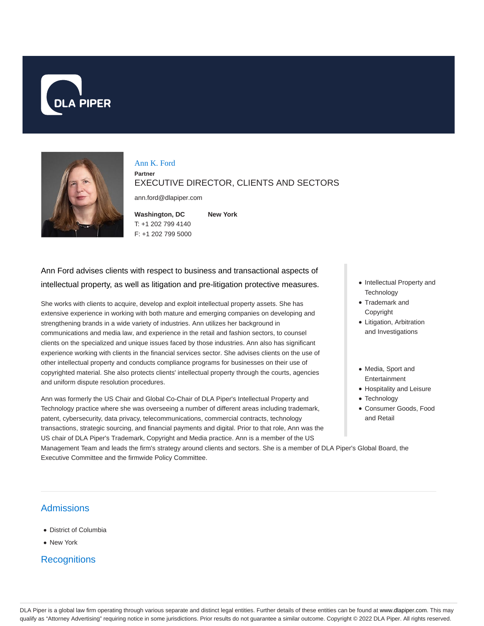



# Ann K. Ford

**Partner**

# EXECUTIVE DIRECTOR, CLIENTS AND SECTORS

ann.ford@dlapiper.com

**Washington, DC** T: +1 202 799 4140 F: +1 202 799 5000 **New York**

# Ann Ford advises clients with respect to business and transactional aspects of intellectual property, as well as litigation and pre-litigation protective measures.

She works with clients to acquire, develop and exploit intellectual property assets. She has extensive experience in working with both mature and emerging companies on developing and strengthening brands in a wide variety of industries. Ann utilizes her background in communications and media law, and experience in the retail and fashion sectors, to counsel clients on the specialized and unique issues faced by those industries. Ann also has significant experience working with clients in the financial services sector. She advises clients on the use of other intellectual property and conducts compliance programs for businesses on their use of copyrighted material. She also protects clients' intellectual property through the courts, agencies and uniform dispute resolution procedures.

Ann was formerly the US Chair and Global Co-Chair of DLA Piper's Intellectual Property and Technology practice where she was overseeing a number of different areas including trademark, patent, cybersecurity, data privacy, telecommunications, commercial contracts, technology transactions, strategic sourcing, and financial payments and digital. Prior to that role, Ann was the US chair of DLA Piper's Trademark, Copyright and Media practice. Ann is a member of the US

Management Team and leads the firm's strategy around clients and sectors. She is a member of DLA Piper's Global Board, the Executive Committee and the firmwide Policy Committee.

- Intellectual Property and **Technology**
- Trademark and Copyright
- Litigation, Arbitration and Investigations
- Media, Sport and Entertainment
- Hospitality and Leisure
- Technology
- Consumer Goods, Food and Retail

# **Admissions**

- District of Columbia
- New York

## **Recognitions**

DLA Piper is a global law firm operating through various separate and distinct legal entities. Further details of these entities can be found at www.dlapiper.com. This may qualify as "Attorney Advertising" requiring notice in some jurisdictions. Prior results do not guarantee a similar outcome. Copyright © 2022 DLA Piper. All rights reserved.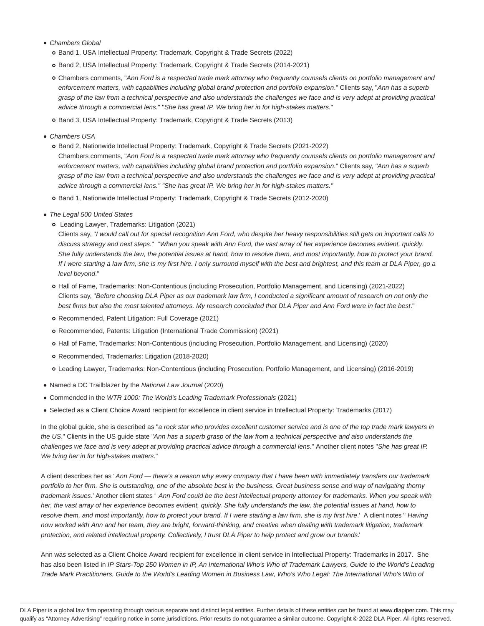- **Chambers Global** 
	- o Band 1, USA Intellectual Property: Trademark, Copyright & Trade Secrets (2022)
	- o Band 2, USA Intellectual Property: Trademark, Copyright & Trade Secrets (2014-2021)
	- Chambers comments, "Ann Ford is a respected trade mark attorney who frequently counsels clients on portfolio management and enforcement matters, with capabilities including global brand protection and portfolio expansion." Clients say, "Ann has a superb grasp of the law from a technical perspective and also understands the challenges we face and is very adept at providing practical advice through a commercial lens." "She has great IP. We bring her in for high-stakes matters."
	- o Band 3, USA Intellectual Property: Trademark, Copyright & Trade Secrets (2013)
- Chambers USA
	- Band 2, Nationwide Intellectual Property: Trademark, Copyright & Trade Secrets (2021-2022) Chambers comments, "Ann Ford is a respected trade mark attorney who frequently counsels clients on portfolio management and enforcement matters, with capabilities including global brand protection and portfolio expansion." Clients say, "Ann has a superb grasp of the law from a technical perspective and also understands the challenges we face and is very adept at providing practical
	- Band 1, Nationwide Intellectual Property: Trademark, Copyright & Trade Secrets (2012-2020)

advice through a commercial lens." "She has great IP. We bring her in for high-stakes matters."

- The Legal 500 United States
	- Leading Lawyer, Trademarks: Litigation (2021)

Clients say, "I would call out for special recognition Ann Ford, who despite her heavy responsibilities still gets on important calls to discuss strategy and next steps." "When you speak with Ann Ford, the vast array of her experience becomes evident, quickly. She fully understands the law, the potential issues at hand, how to resolve them, and most importantly, how to protect your brand. If I were starting a law firm, she is my first hire. I only surround myself with the best and brightest, and this team at DLA Piper, go a level beyond."

- Hall of Fame, Trademarks: Non-Contentious (including Prosecution, Portfolio Management, and Licensing) (2021-2022) Clients say, "Before choosing DLA Piper as our trademark law firm, I conducted a significant amount of research on not only the best firms but also the most talented attorneys. My research concluded that DLA Piper and Ann Ford were in fact the best."
- Recommended, Patent Litigation: Full Coverage (2021)
- Recommended, Patents: Litigation (International Trade Commission) (2021)
- Hall of Fame, Trademarks: Non-Contentious (including Prosecution, Portfolio Management, and Licensing) (2020)
- Recommended, Trademarks: Litigation (2018-2020)
- Leading Lawyer, Trademarks: Non-Contentious (including Prosecution, Portfolio Management, and Licensing) (2016-2019)
- Named a DC Trailblazer by the National Law Journal (2020)
- Commended in the WTR 1000: The World's Leading Trademark Professionals (2021)
- Selected as a Client Choice Award recipient for excellence in client service in Intellectual Property: Trademarks (2017)

In the global guide, she is described as "a rock star who provides excellent customer service and is one of the top trade mark lawyers in the US." Clients in the US quide state "Ann has a superb grasp of the law from a technical perspective and also understands the challenges we face and is very adept at providing practical advice through a commercial lens." Another client notes "She has great IP. We bring her in for high-stakes matters."

A client describes her as 'Ann Ford — there's a reason why every company that I have been with immediately transfers our trademark portfolio to her firm. She is outstanding, one of the absolute best in the business. Great business sense and way of navigating thorny trademark issues.' Another client states ' Ann Ford could be the best intellectual property attorney for trademarks. When you speak with her, the vast array of her experience becomes evident, quickly. She fully understands the law, the potential issues at hand, how to resolve them, and most importantly, how to protect your brand. If I were starting a law firm, she is my first hire.' A client notes " Having now worked with Ann and her team, they are bright, forward-thinking, and creative when dealing with trademark litigation, trademark protection, and related intellectual property. Collectively, I trust DLA Piper to help protect and grow our brands.'

Ann was selected as a Client Choice Award recipient for excellence in client service in Intellectual Property: Trademarks in 2017. She has also been listed in IP Stars-Top 250 Women in IP, An International Who's Who of Trademark Lawyers, Guide to the World's Leading Trade Mark Practitioners, Guide to the World's Leading Women in Business Law, Who's Who Legal: The International Who's Who of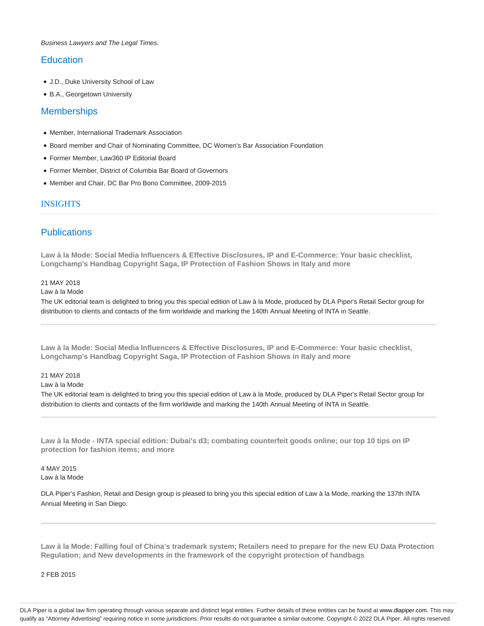#### Business Lawyers and The Legal Times.

## **Education**

- J.D., Duke University School of Law
- B.A., Georgetown University

## **Memberships**

- Member, International Trademark Association
- Board member and Chair of Nominating Committee, DC Women's Bar Association Foundation
- Former Member, Law360 IP Editorial Board
- Former Member, District of Columbia Bar Board of Governors
- Member and Chair, DC Bar Pro Bono Committee, 2009-2015

## INSIGHTS

# **Publications**

**Law à la Mode: Social Media Influencers & Effective Disclosures, IP and E-Commerce: Your basic checklist, Longchamp's Handbag Copyright Saga, IP Protection of Fashion Shows in Italy and more**

### 21 MAY 2018

#### Law à la Mode

The UK editorial team is delighted to bring you this special edition of Law à la Mode, produced by DLA Piper's Retail Sector group for distribution to clients and contacts of the firm worldwide and marking the 140th Annual Meeting of INTA in Seattle.

**Law à la Mode: Social Media Influencers & Effective Disclosures, IP and E-Commerce: Your basic checklist, Longchamp's Handbag Copyright Saga, IP Protection of Fashion Shows in Italy and more**

### 21 MAY 2018

Law à la Mode

The UK editorial team is delighted to bring you this special edition of Law à la Mode, produced by DLA Piper's Retail Sector group for distribution to clients and contacts of the firm worldwide and marking the 140th Annual Meeting of INTA in Seattle.

**Law à la Mode - INTA special edition: Dubai's d3; combating counterfeit goods online; our top 10 tips on IP protection for fashion items; and more**

4 MAY 2015 Law à la Mode

DLA Piper's Fashion, Retail and Design group is pleased to bring you this special edition of Law à la Mode, marking the 137th INTA Annual Meeting in San Diego.

**Law à la Mode: Falling foul of China's trademark system; Retailers need to prepare for the new EU Data Protection Regulation; and New developments in the framework of the copyright protection of handbags**

### 2 FEB 2015

DLA Piper is a global law firm operating through various separate and distinct legal entities. Further details of these entities can be found at www.dlapiper.com. This may qualify as "Attorney Advertising" requiring notice in some jurisdictions. Prior results do not guarantee a similar outcome. Copyright @ 2022 DLA Piper. All rights reserved.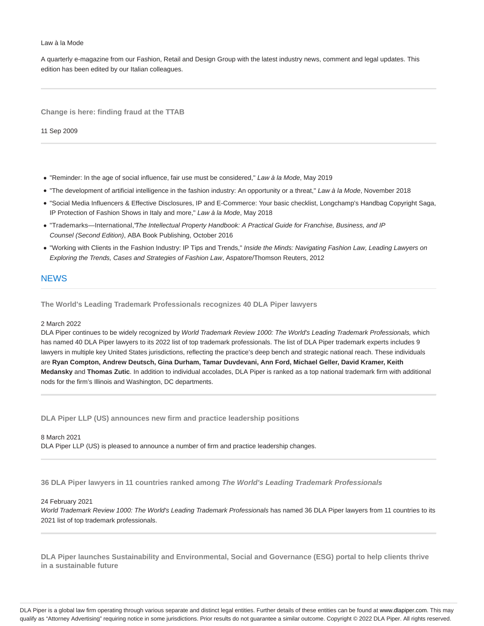#### Law à la Mode

A quarterly e-magazine from our Fashion, Retail and Design Group with the latest industry news, comment and legal updates. This edition has been edited by our Italian colleagues.

**Change is here: finding fraud at the TTAB**

11 Sep 2009

- "Reminder: In the age of social influence, fair use must be considered," Law à la Mode, May 2019
- . "The development of artificial intelligence in the fashion industry: An opportunity or a threat," Law à la Mode, November 2018
- "Social Media Influencers & Effective Disclosures, IP and E-Commerce: Your basic checklist, Longchamp's Handbag Copyright Saga, IP Protection of Fashion Shows in Italy and more," Law à la Mode, May 2018
- "Trademarks—International," The Intellectual Property Handbook: A Practical Guide for Franchise, Business, and IP Counsel (Second Edition), ABA Book Publishing, October 2016
- . "Working with Clients in the Fashion Industry: IP Tips and Trends," Inside the Minds: Navigating Fashion Law, Leading Lawyers on Exploring the Trends, Cases and Strategies of Fashion Law, Aspatore/Thomson Reuters, 2012

### **NEWS**

**The World's Leading Trademark Professionals recognizes 40 DLA Piper lawyers**

#### 2 March 2022

DLA Piper continues to be widely recognized by World Trademark Review 1000: The World's Leading Trademark Professionals, which has named 40 DLA Piper lawyers to its 2022 list of top trademark professionals. The list of DLA Piper trademark experts includes 9 lawyers in multiple key United States jurisdictions, reflecting the practice's deep bench and strategic national reach. These individuals are **Ryan Compton, Andrew Deutsch, Gina Durham, Tamar Duvdevani, Ann Ford, Michael Geller, David Kramer, Keith Medansky** and **Thomas Zutic**. In addition to individual accolades, DLA Piper is ranked as a top national trademark firm with additional nods for the firm's Illinois and Washington, DC departments.

**DLA Piper LLP (US) announces new firm and practice leadership positions**

8 March 2021 DLA Piper LLP (US) is pleased to announce a number of firm and practice leadership changes.

**36 DLA Piper lawyers in 11 countries ranked among The World's Leading Trademark Professionals**

#### 24 February 2021

World Trademark Review 1000: The World's Leading Trademark Professionals has named 36 DLA Piper lawyers from 11 countries to its 2021 list of top trademark professionals.

**DLA Piper launches Sustainability and Environmental, Social and Governance (ESG) portal to help clients thrive in a sustainable future**

DLA Piper is a global law firm operating through various separate and distinct legal entities. Further details of these entities can be found at www.dlapiper.com. This may qualify as "Attorney Advertising" requiring notice in some jurisdictions. Prior results do not guarantee a similar outcome. Copyright @ 2022 DLA Piper. All rights reserved.